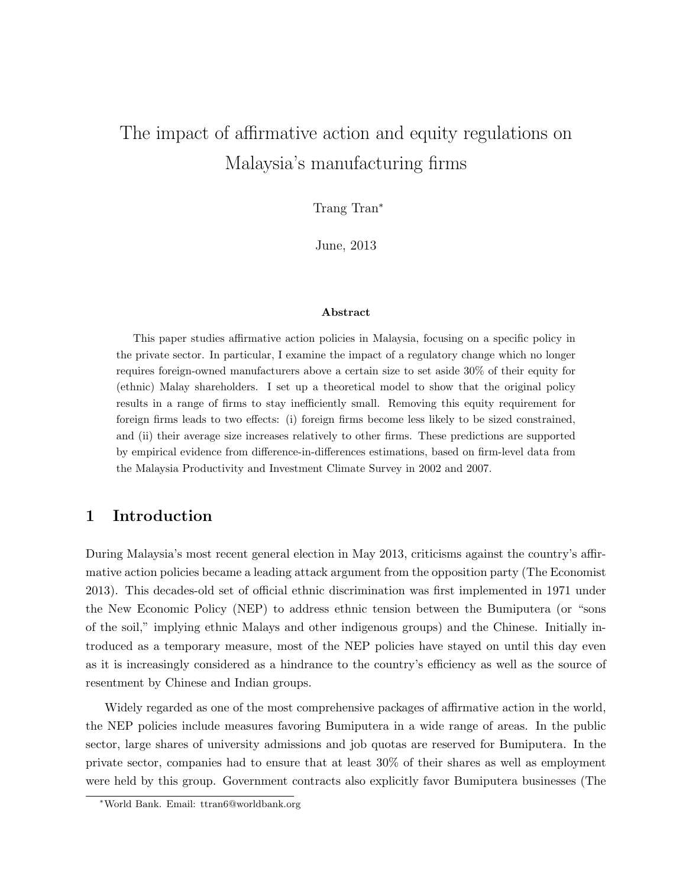# The impact of affirmative action and equity regulations on Malaysia's manufacturing firms

Tran<sup>\*</sup>

June, 2013

#### Abstract

This paper studies affirmative action policies in Malaysia, focusing on a specific policy in the private sector. In particular, I examine the impact of a regulatory change which no longer requires foreign-owned manufacturers above a certain size to set aside 30% of their equity for (ethnic) Malay shareholders. I set up a theoretical model to show that the original policy results in a range of firms to stay inefficiently small. Removing this equity requirement for foreign firms leads to two effects: (i) foreign firms become less likely to be sized constrained, and (ii) their average size increases relatively to other firms. These predictions are supported by empirical evidence from difference-in-differences estimations, based on firm-level data from the Malaysia Productivity and Investment Climate Survey in 2002 and 2007.

## 1 Introduction

During Malaysia's most recent general election in May 2013, criticisms against the country's affirmative action policies became a leading attack argument from the opposition party (The Economist 2013). This decades-old set of official ethnic discrimination was first implemented in 1971 under the New Economic Policy (NEP) to address ethnic tension between the Bumiputera (or "sons of the soil," implying ethnic Malays and other indigenous groups) and the Chinese. Initially introduced as a temporary measure, most of the NEP policies have stayed on until this day even as it is increasingly considered as a hindrance to the country's efficiency as well as the source of resentment by Chinese and Indian groups.

Widely regarded as one of the most comprehensive packages of affirmative action in the world, the NEP policies include measures favoring Bumiputera in a wide range of areas. In the public sector, large shares of university admissions and job quotas are reserved for Bumiputera. In the private sector, companies had to ensure that at least 30% of their shares as well as employment were held by this group. Government contracts also explicitly favor Bumiputera businesses (The

<sup>∗</sup>World Bank. Email: ttran6@worldbank.org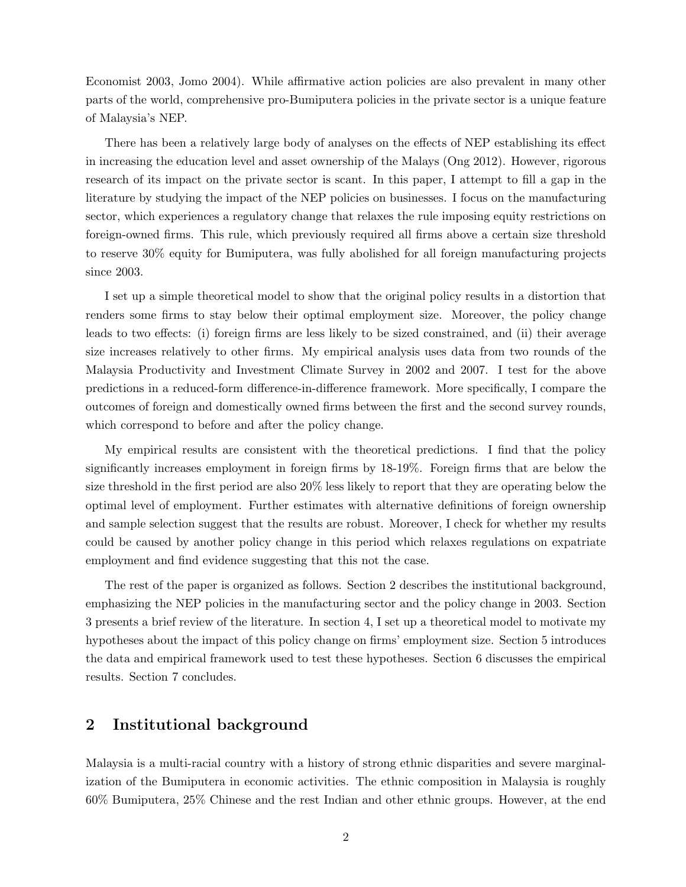Economist 2003, Jomo 2004). While affirmative action policies are also prevalent in many other parts of the world, comprehensive pro-Bumiputera policies in the private sector is a unique feature of Malaysia's NEP.

There has been a relatively large body of analyses on the effects of NEP establishing its effect in increasing the education level and asset ownership of the Malays (Ong 2012). However, rigorous research of its impact on the private sector is scant. In this paper, I attempt to fill a gap in the literature by studying the impact of the NEP policies on businesses. I focus on the manufacturing sector, which experiences a regulatory change that relaxes the rule imposing equity restrictions on foreign-owned firms. This rule, which previously required all firms above a certain size threshold to reserve 30% equity for Bumiputera, was fully abolished for all foreign manufacturing projects since 2003.

I set up a simple theoretical model to show that the original policy results in a distortion that renders some firms to stay below their optimal employment size. Moreover, the policy change leads to two effects: (i) foreign firms are less likely to be sized constrained, and (ii) their average size increases relatively to other firms. My empirical analysis uses data from two rounds of the Malaysia Productivity and Investment Climate Survey in 2002 and 2007. I test for the above predictions in a reduced-form difference-in-difference framework. More specifically, I compare the outcomes of foreign and domestically owned firms between the first and the second survey rounds, which correspond to before and after the policy change.

My empirical results are consistent with the theoretical predictions. I find that the policy significantly increases employment in foreign firms by 18-19%. Foreign firms that are below the size threshold in the first period are also 20% less likely to report that they are operating below the optimal level of employment. Further estimates with alternative definitions of foreign ownership and sample selection suggest that the results are robust. Moreover, I check for whether my results could be caused by another policy change in this period which relaxes regulations on expatriate employment and find evidence suggesting that this not the case.

The rest of the paper is organized as follows. Section 2 describes the institutional background, emphasizing the NEP policies in the manufacturing sector and the policy change in 2003. Section 3 presents a brief review of the literature. In section 4, I set up a theoretical model to motivate my hypotheses about the impact of this policy change on firms' employment size. Section 5 introduces the data and empirical framework used to test these hypotheses. Section 6 discusses the empirical results. Section 7 concludes.

## 2 Institutional background

Malaysia is a multi-racial country with a history of strong ethnic disparities and severe marginalization of the Bumiputera in economic activities. The ethnic composition in Malaysia is roughly 60% Bumiputera, 25% Chinese and the rest Indian and other ethnic groups. However, at the end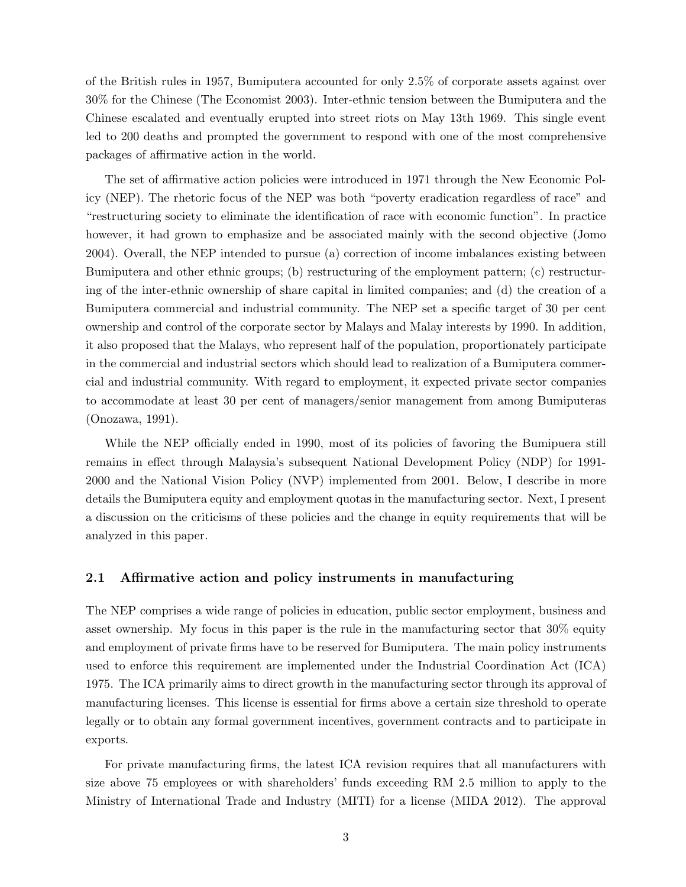of the British rules in 1957, Bumiputera accounted for only 2.5% of corporate assets against over 30% for the Chinese (The Economist 2003). Inter-ethnic tension between the Bumiputera and the Chinese escalated and eventually erupted into street riots on May 13th 1969. This single event led to 200 deaths and prompted the government to respond with one of the most comprehensive packages of affirmative action in the world.

The set of affirmative action policies were introduced in 1971 through the New Economic Policy (NEP). The rhetoric focus of the NEP was both "poverty eradication regardless of race" and "restructuring society to eliminate the identification of race with economic function". In practice however, it had grown to emphasize and be associated mainly with the second objective (Jomo 2004). Overall, the NEP intended to pursue (a) correction of income imbalances existing between Bumiputera and other ethnic groups; (b) restructuring of the employment pattern; (c) restructuring of the inter-ethnic ownership of share capital in limited companies; and (d) the creation of a Bumiputera commercial and industrial community. The NEP set a specific target of 30 per cent ownership and control of the corporate sector by Malays and Malay interests by 1990. In addition, it also proposed that the Malays, who represent half of the population, proportionately participate in the commercial and industrial sectors which should lead to realization of a Bumiputera commercial and industrial community. With regard to employment, it expected private sector companies to accommodate at least 30 per cent of managers/senior management from among Bumiputeras (Onozawa, 1991).

While the NEP officially ended in 1990, most of its policies of favoring the Bumipuera still remains in effect through Malaysia's subsequent National Development Policy (NDP) for 1991- 2000 and the National Vision Policy (NVP) implemented from 2001. Below, I describe in more details the Bumiputera equity and employment quotas in the manufacturing sector. Next, I present a discussion on the criticisms of these policies and the change in equity requirements that will be analyzed in this paper.

#### 2.1 Affirmative action and policy instruments in manufacturing

The NEP comprises a wide range of policies in education, public sector employment, business and asset ownership. My focus in this paper is the rule in the manufacturing sector that 30% equity and employment of private firms have to be reserved for Bumiputera. The main policy instruments used to enforce this requirement are implemented under the Industrial Coordination Act (ICA) 1975. The ICA primarily aims to direct growth in the manufacturing sector through its approval of manufacturing licenses. This license is essential for firms above a certain size threshold to operate legally or to obtain any formal government incentives, government contracts and to participate in exports.

For private manufacturing firms, the latest ICA revision requires that all manufacturers with size above 75 employees or with shareholders' funds exceeding RM 2.5 million to apply to the Ministry of International Trade and Industry (MITI) for a license (MIDA 2012). The approval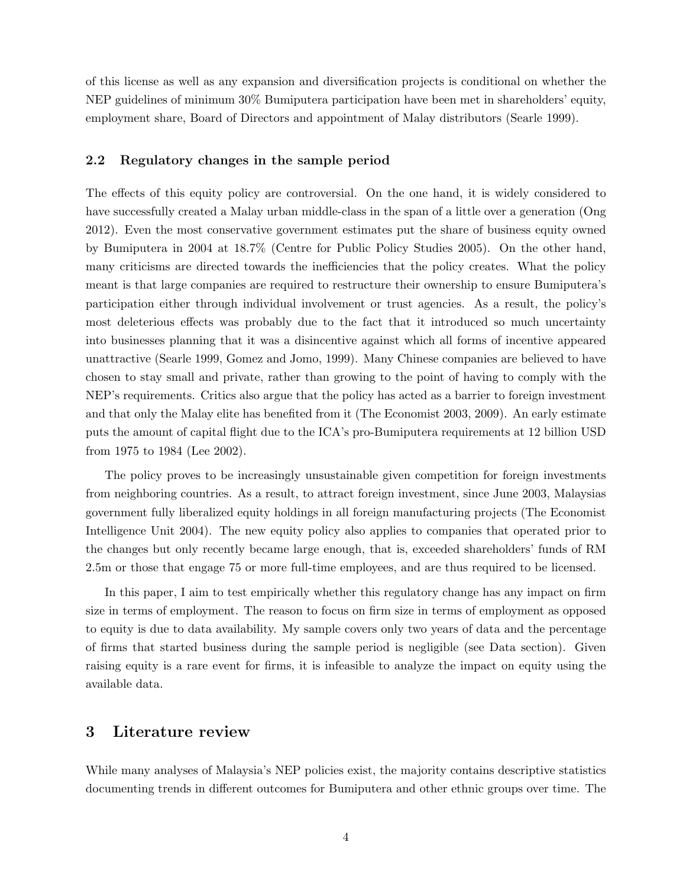of this license as well as any expansion and diversification projects is conditional on whether the NEP guidelines of minimum 30% Bumiputera participation have been met in shareholders' equity, employment share, Board of Directors and appointment of Malay distributors (Searle 1999).

## 2.2 Regulatory changes in the sample period

The effects of this equity policy are controversial. On the one hand, it is widely considered to have successfully created a Malay urban middle-class in the span of a little over a generation (Ong 2012). Even the most conservative government estimates put the share of business equity owned by Bumiputera in 2004 at 18.7% (Centre for Public Policy Studies 2005). On the other hand, many criticisms are directed towards the inefficiencies that the policy creates. What the policy meant is that large companies are required to restructure their ownership to ensure Bumiputera's participation either through individual involvement or trust agencies. As a result, the policy's most deleterious effects was probably due to the fact that it introduced so much uncertainty into businesses planning that it was a disincentive against which all forms of incentive appeared unattractive (Searle 1999, Gomez and Jomo, 1999). Many Chinese companies are believed to have chosen to stay small and private, rather than growing to the point of having to comply with the NEP's requirements. Critics also argue that the policy has acted as a barrier to foreign investment and that only the Malay elite has benefited from it (The Economist 2003, 2009). An early estimate puts the amount of capital flight due to the ICA's pro-Bumiputera requirements at 12 billion USD from 1975 to 1984 (Lee 2002).

The policy proves to be increasingly unsustainable given competition for foreign investments from neighboring countries. As a result, to attract foreign investment, since June 2003, Malaysias government fully liberalized equity holdings in all foreign manufacturing projects (The Economist Intelligence Unit 2004). The new equity policy also applies to companies that operated prior to the changes but only recently became large enough, that is, exceeded shareholders' funds of RM 2.5m or those that engage 75 or more full-time employees, and are thus required to be licensed.

In this paper, I aim to test empirically whether this regulatory change has any impact on firm size in terms of employment. The reason to focus on firm size in terms of employment as opposed to equity is due to data availability. My sample covers only two years of data and the percentage of firms that started business during the sample period is negligible (see Data section). Given raising equity is a rare event for firms, it is infeasible to analyze the impact on equity using the available data.

## 3 Literature review

While many analyses of Malaysia's NEP policies exist, the majority contains descriptive statistics documenting trends in different outcomes for Bumiputera and other ethnic groups over time. The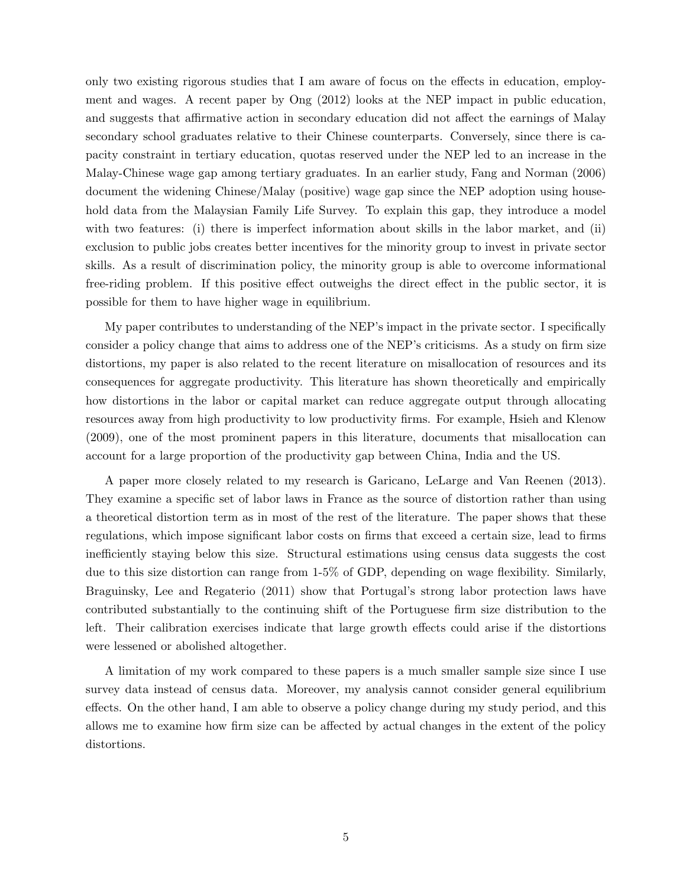only two existing rigorous studies that I am aware of focus on the effects in education, employment and wages. A recent paper by Ong (2012) looks at the NEP impact in public education, and suggests that affirmative action in secondary education did not affect the earnings of Malay secondary school graduates relative to their Chinese counterparts. Conversely, since there is capacity constraint in tertiary education, quotas reserved under the NEP led to an increase in the Malay-Chinese wage gap among tertiary graduates. In an earlier study, Fang and Norman (2006) document the widening Chinese/Malay (positive) wage gap since the NEP adoption using household data from the Malaysian Family Life Survey. To explain this gap, they introduce a model with two features: (i) there is imperfect information about skills in the labor market, and (ii) exclusion to public jobs creates better incentives for the minority group to invest in private sector skills. As a result of discrimination policy, the minority group is able to overcome informational free-riding problem. If this positive effect outweighs the direct effect in the public sector, it is possible for them to have higher wage in equilibrium.

My paper contributes to understanding of the NEP's impact in the private sector. I specifically consider a policy change that aims to address one of the NEP's criticisms. As a study on firm size distortions, my paper is also related to the recent literature on misallocation of resources and its consequences for aggregate productivity. This literature has shown theoretically and empirically how distortions in the labor or capital market can reduce aggregate output through allocating resources away from high productivity to low productivity firms. For example, Hsieh and Klenow (2009), one of the most prominent papers in this literature, documents that misallocation can account for a large proportion of the productivity gap between China, India and the US.

A paper more closely related to my research is Garicano, LeLarge and Van Reenen (2013). They examine a specific set of labor laws in France as the source of distortion rather than using a theoretical distortion term as in most of the rest of the literature. The paper shows that these regulations, which impose significant labor costs on firms that exceed a certain size, lead to firms inefficiently staying below this size. Structural estimations using census data suggests the cost due to this size distortion can range from 1-5% of GDP, depending on wage flexibility. Similarly, Braguinsky, Lee and Regaterio (2011) show that Portugal's strong labor protection laws have contributed substantially to the continuing shift of the Portuguese firm size distribution to the left. Their calibration exercises indicate that large growth effects could arise if the distortions were lessened or abolished altogether.

A limitation of my work compared to these papers is a much smaller sample size since I use survey data instead of census data. Moreover, my analysis cannot consider general equilibrium effects. On the other hand, I am able to observe a policy change during my study period, and this allows me to examine how firm size can be affected by actual changes in the extent of the policy distortions.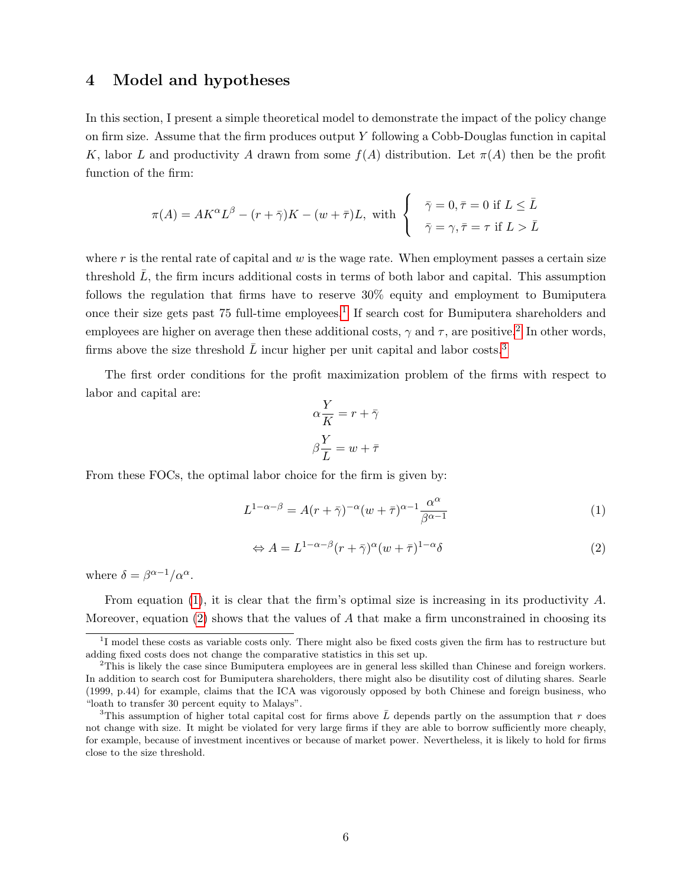## 4 Model and hypotheses

In this section, I present a simple theoretical model to demonstrate the impact of the policy change on firm size. Assume that the firm produces output Y following a Cobb-Douglas function in capital K, labor L and productivity A drawn from some  $f(A)$  distribution. Let  $\pi(A)$  then be the profit function of the firm:

$$
\pi(A) = AK^{\alpha}L^{\beta} - (r + \bar{\gamma})K - (w + \bar{\tau})L, \text{ with }\begin{cases} \bar{\gamma} = 0, \bar{\tau} = 0 \text{ if } L \leq \bar{L} \\ \bar{\gamma} = \gamma, \bar{\tau} = \tau \text{ if } L > \bar{L} \end{cases}
$$

where  $r$  is the rental rate of capital and  $w$  is the wage rate. When employment passes a certain size threshold  $\bar{L}$ , the firm incurs additional costs in terms of both labor and capital. This assumption follows the regulation that firms have to reserve 30% equity and employment to Bumiputera once their size gets past 75 full-time employees.<sup>[1](#page-5-0)</sup> If search cost for Bumiputera shareholders and employees are higher on average then these additional costs,  $\gamma$  and  $\tau$ , are positive.<sup>[2](#page-5-1)</sup> In other words, firms above the size threshold  $\overline{L}$  incur higher per unit capital and labor costs.<sup>[3](#page-5-2)</sup>

The first order conditions for the profit maximization problem of the firms with respect to labor and capital are:

$$
\alpha \frac{Y}{K} = r + \bar{\gamma}
$$

$$
\beta \frac{Y}{L} = w + \bar{\tau}
$$

From these FOCs, the optimal labor choice for the firm is given by:

<span id="page-5-3"></span>
$$
L^{1-\alpha-\beta} = A(r+\bar{\gamma})^{-\alpha}(w+\bar{\tau})^{\alpha-1}\frac{\alpha^{\alpha}}{\beta^{\alpha-1}}
$$
\n(1)

<span id="page-5-4"></span>
$$
\Leftrightarrow A = L^{1-\alpha-\beta}(r+\bar{\gamma})^{\alpha}(w+\bar{\tau})^{1-\alpha}\delta
$$
\n(2)

where  $\delta = \beta^{\alpha - 1}/\alpha^{\alpha}$ .

From equation [\(1\)](#page-5-3), it is clear that the firm's optimal size is increasing in its productivity A. Moreover, equation [\(2\)](#page-5-4) shows that the values of  $A$  that make a firm unconstrained in choosing its

<span id="page-5-0"></span><sup>&</sup>lt;sup>1</sup>I model these costs as variable costs only. There might also be fixed costs given the firm has to restructure but adding fixed costs does not change the comparative statistics in this set up.

<span id="page-5-1"></span><sup>&</sup>lt;sup>2</sup>This is likely the case since Bumiputera employees are in general less skilled than Chinese and foreign workers. In addition to search cost for Bumiputera shareholders, there might also be disutility cost of diluting shares. Searle (1999, p.44) for example, claims that the ICA was vigorously opposed by both Chinese and foreign business, who "loath to transfer 30 percent equity to Malays".

<span id="page-5-2"></span><sup>&</sup>lt;sup>3</sup>This assumption of higher total capital cost for firms above  $\bar{L}$  depends partly on the assumption that r does not change with size. It might be violated for very large firms if they are able to borrow sufficiently more cheaply, for example, because of investment incentives or because of market power. Nevertheless, it is likely to hold for firms close to the size threshold.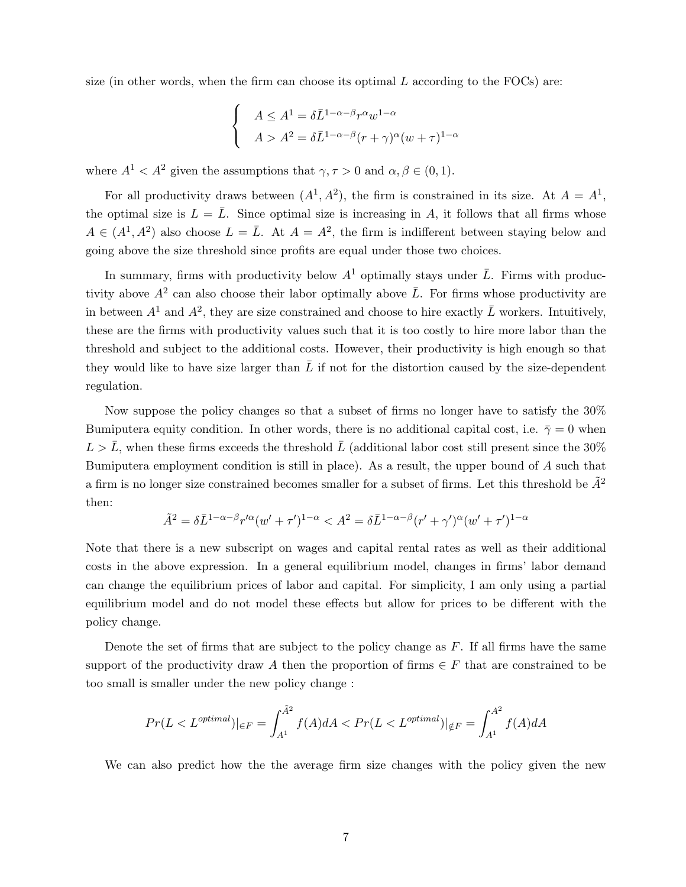size (in other words, when the firm can choose its optimal  $L$  according to the FOCs) are:

$$
\begin{cases}\nA \le A^1 = \delta \bar{L}^{1-\alpha-\beta} r^{\alpha} w^{1-\alpha} \\
A > A^2 = \delta \bar{L}^{1-\alpha-\beta} (r+\gamma)^{\alpha} (w+\tau)^{1-\alpha}\n\end{cases}
$$

where  $A^1 < A^2$  given the assumptions that  $\gamma, \tau > 0$  and  $\alpha, \beta \in (0, 1)$ .

For all productivity draws between  $(A^1, A^2)$ , the firm is constrained in its size. At  $A = A^1$ , the optimal size is  $L = \overline{L}$ . Since optimal size is increasing in A, it follows that all firms whose  $A \in (A^1, A^2)$  also choose  $L = \overline{L}$ . At  $A = A^2$ , the firm is indifferent between staying below and going above the size threshold since profits are equal under those two choices.

In summary, firms with productivity below  $A<sup>1</sup>$  optimally stays under  $\overline{L}$ . Firms with productivity above  $A^2$  can also choose their labor optimally above  $\overline{L}$ . For firms whose productivity are in between  $A^1$  and  $A^2$ , they are size constrained and choose to hire exactly  $\overline{L}$  workers. Intuitively, these are the firms with productivity values such that it is too costly to hire more labor than the threshold and subject to the additional costs. However, their productivity is high enough so that they would like to have size larger than  $\bar{L}$  if not for the distortion caused by the size-dependent regulation.

Now suppose the policy changes so that a subset of firms no longer have to satisfy the 30% Bumiputera equity condition. In other words, there is no additional capital cost, i.e.  $\bar{\gamma} = 0$  when  $L > \bar{L}$ , when these firms exceeds the threshold  $\bar{L}$  (additional labor cost still present since the 30% Bumiputera employment condition is still in place). As a result, the upper bound of A such that a firm is no longer size constrained becomes smaller for a subset of firms. Let this threshold be  $\tilde{A}^2$ then:

$$
\tilde{A}^2 = \delta \bar{L}^{1-\alpha-\beta} r'^{\alpha} (w' + \tau')^{1-\alpha} < A^2 = \delta \bar{L}^{1-\alpha-\beta} (r' + \gamma')^{\alpha} (w' + \tau')^{1-\alpha}
$$

Note that there is a new subscript on wages and capital rental rates as well as their additional costs in the above expression. In a general equilibrium model, changes in firms' labor demand can change the equilibrium prices of labor and capital. For simplicity, I am only using a partial equilibrium model and do not model these effects but allow for prices to be different with the policy change.

Denote the set of firms that are subject to the policy change as  $F$ . If all firms have the same support of the productivity draw A then the proportion of firms  $\in F$  that are constrained to be too small is smaller under the new policy change :

$$
Pr(L < L^{optimal})|_{\in F} = \int_{A^1}^{\tilde{A}^2} f(A) dA < Pr(L < L^{optimal})|_{\notin F} = \int_{A^1}^{A^2} f(A) dA
$$

We can also predict how the the average firm size changes with the policy given the new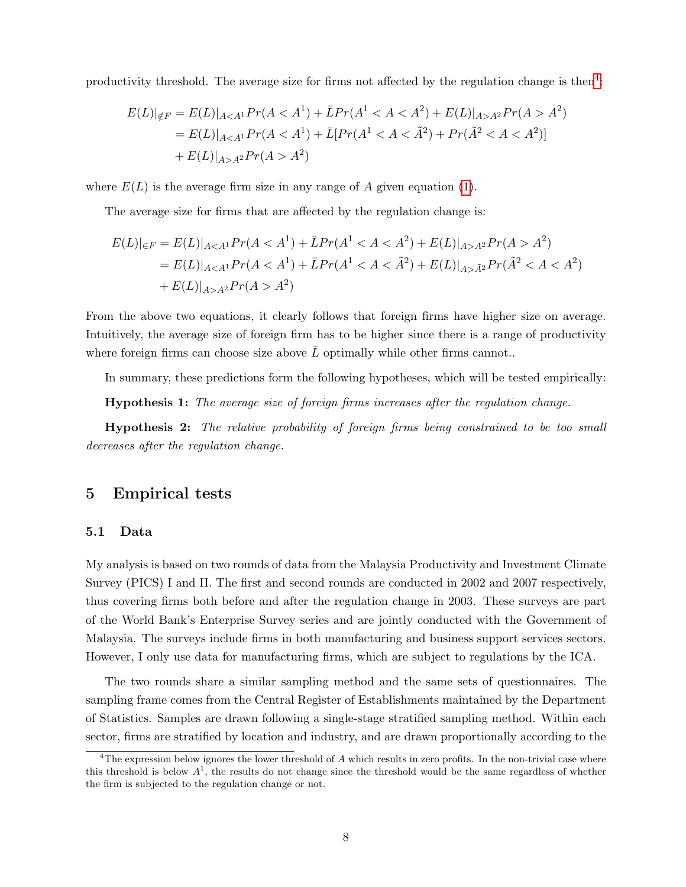productivity threshold. The average size for firms not affected by the regulation change is then<sup>[4](#page-7-0)</sup>:

$$
E(L)|_{\notin F} = E(L)|_{A < A^1} Pr(A < A^1) + \bar{L}Pr(A^1 < A < A^2) + E(L)|_{A > A^2} Pr(A > A^2)
$$
  
=  $E(L)|_{A < A^1} Pr(A < A^1) + \bar{L}[Pr(A^1 < A < \tilde{A}^2) + Pr(\tilde{A}^2 < A < A^2)]$   
+  $E(L)|_{A > A^2} Pr(A > A^2)$ 

where  $E(L)$  is the average firm size in any range of A given equation [\(1\)](#page-5-3).

The average size for firms that are affected by the regulation change is:

$$
E(L)|_{\in F} = E(L)|_{A < A^1} Pr(A < A^1) + \bar{L}Pr(A^1 < A < A^2) + E(L)|_{A > A^2} Pr(A > A^2)
$$
  
=  $E(L)|_{A < A^1} Pr(A < A^1) + \bar{L}Pr(A^1 < A < \tilde{A}^2) + E(L)|_{A > \tilde{A}^2} Pr(\tilde{A}^2 < A < A^2)$   
+  $E(L)|_{A > A^2} Pr(A > A^2)$ 

From the above two equations, it clearly follows that foreign firms have higher size on average. Intuitively, the average size of foreign firm has to be higher since there is a range of productivity where foreign firms can choose size above  $\overline{L}$  optimally while other firms cannot..

In summary, these predictions form the following hypotheses, which will be tested empirically:

Hypothesis 1: The average size of foreign firms increases after the regulation change.

Hypothesis 2: The relative probability of foreign firms being constrained to be too small decreases after the regulation change.

## 5 Empirical tests

#### 5.1 Data

My analysis is based on two rounds of data from the Malaysia Productivity and Investment Climate Survey (PICS) I and II. The first and second rounds are conducted in 2002 and 2007 respectively, thus covering firms both before and after the regulation change in 2003. These surveys are part of the World Bank's Enterprise Survey series and are jointly conducted with the Government of Malaysia. The surveys include firms in both manufacturing and business support services sectors. However, I only use data for manufacturing firms, which are subject to regulations by the ICA.

The two rounds share a similar sampling method and the same sets of questionnaires. The sampling frame comes from the Central Register of Establishments maintained by the Department of Statistics. Samples are drawn following a single-stage stratified sampling method. Within each sector, firms are stratified by location and industry, and are drawn proportionally according to the

<span id="page-7-0"></span><sup>&</sup>lt;sup>4</sup>The expression below ignores the lower threshold of  $A$  which results in zero profits. In the non-trivial case where this threshold is below  $A<sup>1</sup>$ , the results do not change since the threshold would be the same regardless of whether the firm is subjected to the regulation change or not.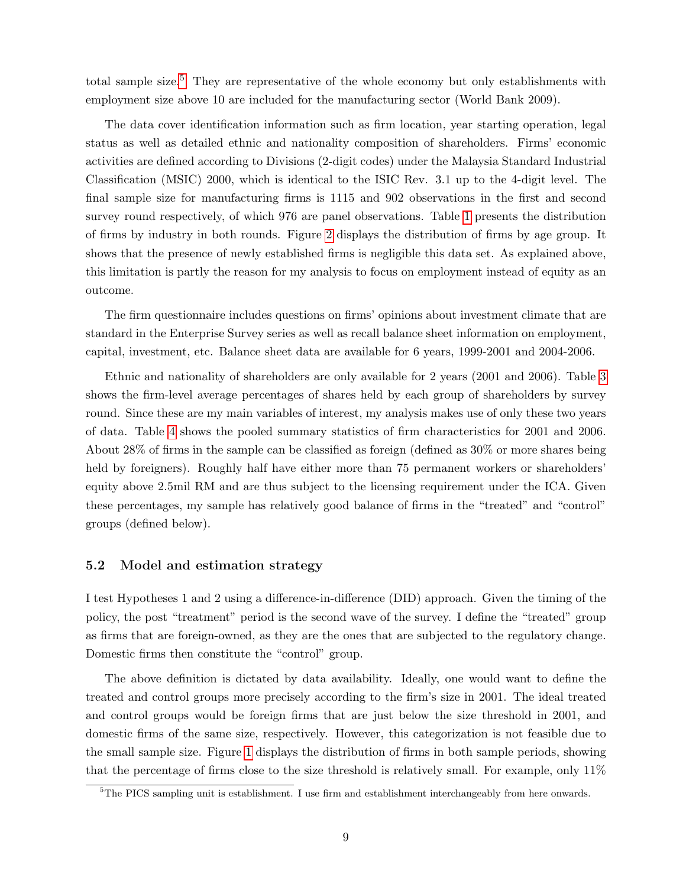total sample size.<sup>[5](#page-8-0)</sup> They are representative of the whole economy but only establishments with employment size above 10 are included for the manufacturing sector (World Bank 2009).

The data cover identification information such as firm location, year starting operation, legal status as well as detailed ethnic and nationality composition of shareholders. Firms' economic activities are defined according to Divisions (2-digit codes) under the Malaysia Standard Industrial Classification (MSIC) 2000, which is identical to the ISIC Rev. 3.1 up to the 4-digit level. The final sample size for manufacturing firms is 1115 and 902 observations in the first and second survey round respectively, of which 976 are panel observations. Table [1](#page-17-0) presents the distribution of firms by industry in both rounds. Figure [2](#page-17-1) displays the distribution of firms by age group. It shows that the presence of newly established firms is negligible this data set. As explained above, this limitation is partly the reason for my analysis to focus on employment instead of equity as an outcome.

The firm questionnaire includes questions on firms' opinions about investment climate that are standard in the Enterprise Survey series as well as recall balance sheet information on employment, capital, investment, etc. Balance sheet data are available for 6 years, 1999-2001 and 2004-2006.

Ethnic and nationality of shareholders are only available for 2 years (2001 and 2006). Table [3](#page-17-2) shows the firm-level average percentages of shares held by each group of shareholders by survey round. Since these are my main variables of interest, my analysis makes use of only these two years of data. Table [4](#page-18-0) shows the pooled summary statistics of firm characteristics for 2001 and 2006. About 28% of firms in the sample can be classified as foreign (defined as 30% or more shares being held by foreigners). Roughly half have either more than 75 permanent workers or shareholders' equity above 2.5mil RM and are thus subject to the licensing requirement under the ICA. Given these percentages, my sample has relatively good balance of firms in the "treated" and "control" groups (defined below).

#### 5.2 Model and estimation strategy

I test Hypotheses 1 and 2 using a difference-in-difference (DID) approach. Given the timing of the policy, the post "treatment" period is the second wave of the survey. I define the "treated" group as firms that are foreign-owned, as they are the ones that are subjected to the regulatory change. Domestic firms then constitute the "control" group.

The above definition is dictated by data availability. Ideally, one would want to define the treated and control groups more precisely according to the firm's size in 2001. The ideal treated and control groups would be foreign firms that are just below the size threshold in 2001, and domestic firms of the same size, respectively. However, this categorization is not feasible due to the small sample size. Figure [1](#page-16-0) displays the distribution of firms in both sample periods, showing that the percentage of firms close to the size threshold is relatively small. For example, only 11%

<span id="page-8-0"></span><sup>5</sup>The PICS sampling unit is establishment. I use firm and establishment interchangeably from here onwards.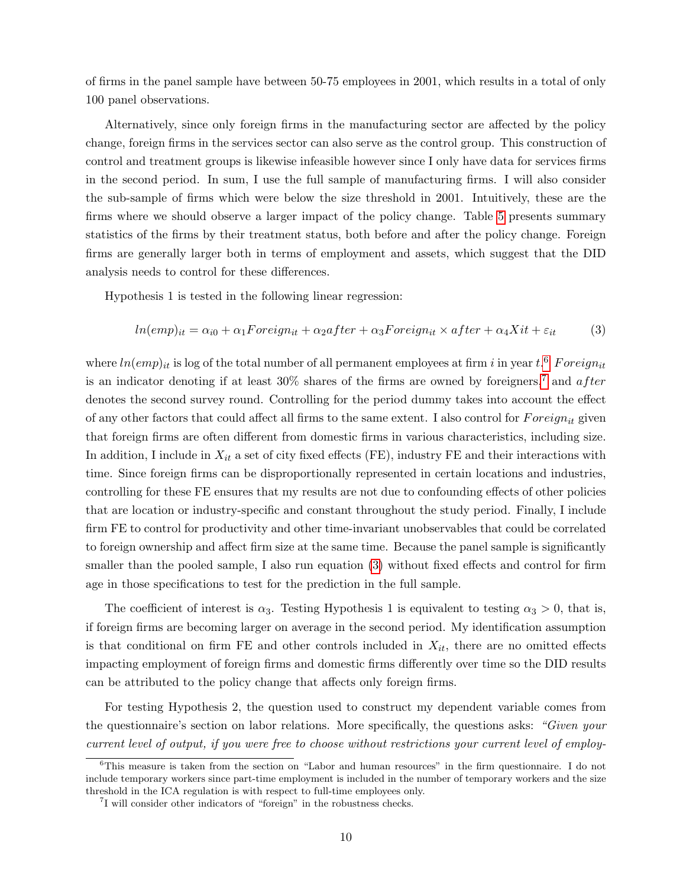of firms in the panel sample have between 50-75 employees in 2001, which results in a total of only 100 panel observations.

Alternatively, since only foreign firms in the manufacturing sector are affected by the policy change, foreign firms in the services sector can also serve as the control group. This construction of control and treatment groups is likewise infeasible however since I only have data for services firms in the second period. In sum, I use the full sample of manufacturing firms. I will also consider the sub-sample of firms which were below the size threshold in 2001. Intuitively, these are the firms where we should observe a larger impact of the policy change. Table [5](#page-19-0) presents summary statistics of the firms by their treatment status, both before and after the policy change. Foreign firms are generally larger both in terms of employment and assets, which suggest that the DID analysis needs to control for these differences.

Hypothesis 1 is tested in the following linear regression:

<span id="page-9-2"></span>
$$
ln(emp)_{it} = \alpha_{i0} + \alpha_1 Foreign + \alpha_2after + \alpha_3 Foreign \times after + \alpha_4Xit + \varepsilon_{it}
$$
 (3)

where  $ln(emp)_{it}$  is log of the total number of all permanent employees at firm i in year  $t.^6$  $t.^6$  Foreign<sub>it</sub> is an indicator denoting if at least  $30\%$  shares of the firms are owned by foreigners,<sup>[7](#page-9-1)</sup> and *after* denotes the second survey round. Controlling for the period dummy takes into account the effect of any other factors that could affect all firms to the same extent. I also control for  $Foreign_{it}$  given that foreign firms are often different from domestic firms in various characteristics, including size. In addition, I include in  $X_{it}$  a set of city fixed effects (FE), industry FE and their interactions with time. Since foreign firms can be disproportionally represented in certain locations and industries, controlling for these FE ensures that my results are not due to confounding effects of other policies that are location or industry-specific and constant throughout the study period. Finally, I include firm FE to control for productivity and other time-invariant unobservables that could be correlated to foreign ownership and affect firm size at the same time. Because the panel sample is significantly smaller than the pooled sample, I also run equation [\(3\)](#page-9-2) without fixed effects and control for firm age in those specifications to test for the prediction in the full sample.

The coefficient of interest is  $\alpha_3$ . Testing Hypothesis 1 is equivalent to testing  $\alpha_3 > 0$ , that is, if foreign firms are becoming larger on average in the second period. My identification assumption is that conditional on firm FE and other controls included in  $X_{it}$ , there are no omitted effects impacting employment of foreign firms and domestic firms differently over time so the DID results can be attributed to the policy change that affects only foreign firms.

For testing Hypothesis 2, the question used to construct my dependent variable comes from the questionnaire's section on labor relations. More specifically, the questions asks: "Given your current level of output, if you were free to choose without restrictions your current level of employ-

<span id="page-9-0"></span> ${}^{6}$ This measure is taken from the section on "Labor and human resources" in the firm questionnaire. I do not include temporary workers since part-time employment is included in the number of temporary workers and the size threshold in the ICA regulation is with respect to full-time employees only.

<span id="page-9-1"></span><sup>&</sup>lt;sup>7</sup>I will consider other indicators of "foreign" in the robustness checks.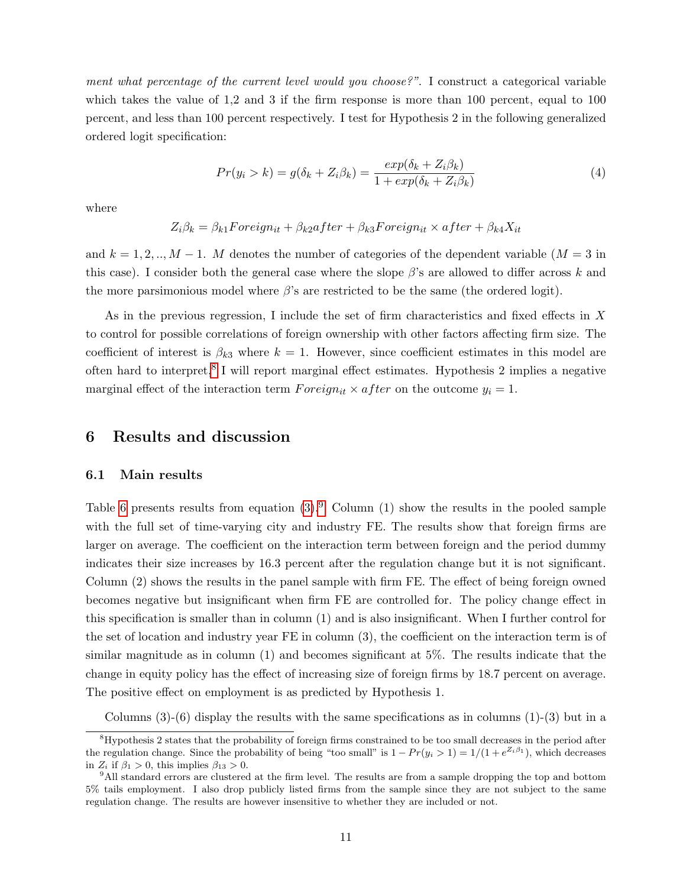ment what percentage of the current level would you choose?". I construct a categorical variable which takes the value of 1.2 and 3 if the firm response is more than 100 percent, equal to 100 percent, and less than 100 percent respectively. I test for Hypothesis 2 in the following generalized ordered logit specification:

<span id="page-10-2"></span>
$$
Pr(y_i > k) = g(\delta_k + Z_i \beta_k) = \frac{exp(\delta_k + Z_i \beta_k)}{1 + exp(\delta_k + Z_i \beta_k)}
$$
(4)

where

$$
Z_i \beta_k = \beta_{k1} Foreign_i + \beta_{k2} after + \beta_{k3} Foreign_i \times after + \beta_{k4} X_{it}
$$

and  $k = 1, 2, ..., M - 1$ . M denotes the number of categories of the dependent variable  $(M = 3$  in this case). I consider both the general case where the slope  $\beta$ 's are allowed to differ across k and the more parsimonious model where  $\beta$ 's are restricted to be the same (the ordered logit).

As in the previous regression, I include the set of firm characteristics and fixed effects in X to control for possible correlations of foreign ownership with other factors affecting firm size. The coefficient of interest is  $\beta_{k3}$  where  $k = 1$ . However, since coefficient estimates in this model are often hard to interpret,<sup>[8](#page-10-0)</sup> I will report marginal effect estimates. Hypothesis 2 implies a negative marginal effect of the interaction term  $Foreign_{it} \times after$  on the outcome  $y_i = 1$ .

## 6 Results and discussion

#### 6.1 Main results

Table [6](#page-20-0) presents results from equation  $(3)$ . Column  $(1)$  show the results in the pooled sample with the full set of time-varying city and industry FE. The results show that foreign firms are larger on average. The coefficient on the interaction term between foreign and the period dummy indicates their size increases by 16.3 percent after the regulation change but it is not significant. Column (2) shows the results in the panel sample with firm FE. The effect of being foreign owned becomes negative but insignificant when firm FE are controlled for. The policy change effect in this specification is smaller than in column (1) and is also insignificant. When I further control for the set of location and industry year FE in column (3), the coefficient on the interaction term is of similar magnitude as in column (1) and becomes significant at 5%. The results indicate that the change in equity policy has the effect of increasing size of foreign firms by 18.7 percent on average. The positive effect on employment is as predicted by Hypothesis 1.

Columns  $(3)-(6)$  display the results with the same specifications as in columns  $(1)-(3)$  but in a

<span id="page-10-0"></span><sup>&</sup>lt;sup>8</sup>Hypothesis 2 states that the probability of foreign firms constrained to be too small decreases in the period after the regulation change. Since the probability of being "too small" is  $1 - Pr(y_i > 1) = 1/(1 + e^{Z_i \beta_1})$ , which decreases in  $Z_i$  if  $\beta_1 > 0$ , this implies  $\beta_{13} > 0$ .

<span id="page-10-1"></span><sup>9</sup>All standard errors are clustered at the firm level. The results are from a sample dropping the top and bottom 5% tails employment. I also drop publicly listed firms from the sample since they are not subject to the same regulation change. The results are however insensitive to whether they are included or not.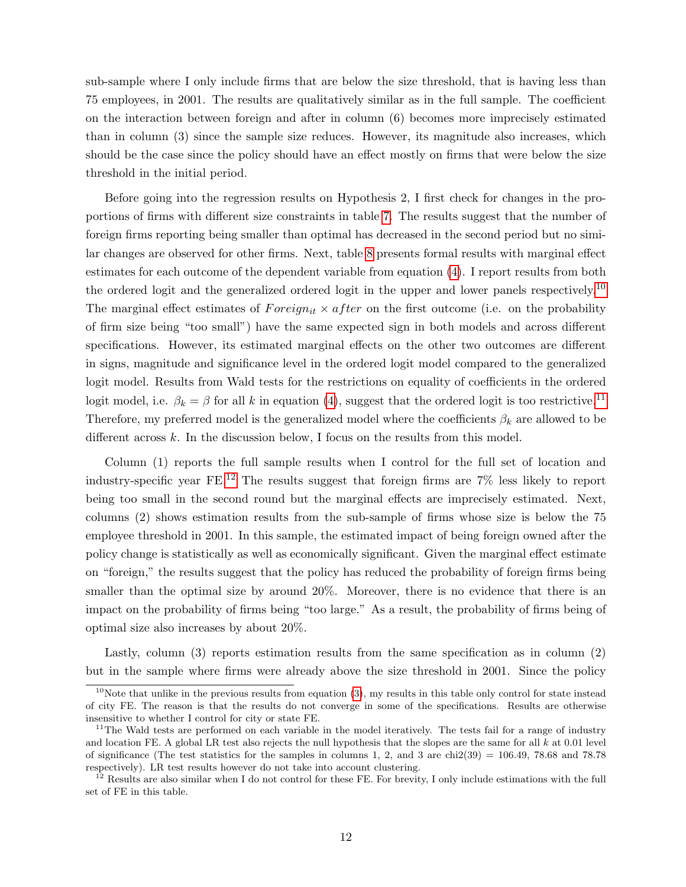sub-sample where I only include firms that are below the size threshold, that is having less than 75 employees, in 2001. The results are qualitatively similar as in the full sample. The coefficient on the interaction between foreign and after in column (6) becomes more imprecisely estimated than in column (3) since the sample size reduces. However, its magnitude also increases, which should be the case since the policy should have an effect mostly on firms that were below the size threshold in the initial period.

Before going into the regression results on Hypothesis 2, I first check for changes in the proportions of firms with different size constraints in table [7.](#page-20-1) The results suggest that the number of foreign firms reporting being smaller than optimal has decreased in the second period but no similar changes are observed for other firms. Next, table [8](#page-21-0) presents formal results with marginal effect estimates for each outcome of the dependent variable from equation [\(4\)](#page-10-2). I report results from both the ordered logit and the generalized ordered logit in the upper and lower panels respectively.<sup>[10](#page-11-0)</sup> The marginal effect estimates of  $Foreign_{it} \times after$  on the first outcome (i.e. on the probability of firm size being "too small") have the same expected sign in both models and across different specifications. However, its estimated marginal effects on the other two outcomes are different in signs, magnitude and significance level in the ordered logit model compared to the generalized logit model. Results from Wald tests for the restrictions on equality of coefficients in the ordered logit model, i.e.  $\beta_k = \beta$  for all k in equation [\(4\)](#page-10-2), suggest that the ordered logit is too restrictive.<sup>[11](#page-11-1)</sup> Therefore, my preferred model is the generalized model where the coefficients  $\beta_k$  are allowed to be different across  $k$ . In the discussion below, I focus on the results from this model.

Column (1) reports the full sample results when I control for the full set of location and industry-specific year FE.[12](#page-11-2) The results suggest that foreign firms are 7% less likely to report being too small in the second round but the marginal effects are imprecisely estimated. Next, columns (2) shows estimation results from the sub-sample of firms whose size is below the 75 employee threshold in 2001. In this sample, the estimated impact of being foreign owned after the policy change is statistically as well as economically significant. Given the marginal effect estimate on "foreign," the results suggest that the policy has reduced the probability of foreign firms being smaller than the optimal size by around 20%. Moreover, there is no evidence that there is an impact on the probability of firms being "too large." As a result, the probability of firms being of optimal size also increases by about 20%.

Lastly, column (3) reports estimation results from the same specification as in column (2) but in the sample where firms were already above the size threshold in 2001. Since the policy

<span id="page-11-0"></span> $10$ Note that unlike in the previous results from equation [\(3\)](#page-9-2), my results in this table only control for state instead of city FE. The reason is that the results do not converge in some of the specifications. Results are otherwise insensitive to whether I control for city or state FE.

<span id="page-11-1"></span> $11$ The Wald tests are performed on each variable in the model iteratively. The tests fail for a range of industry and location FE. A global LR test also rejects the null hypothesis that the slopes are the same for all  $k$  at 0.01 level of significance (The test statistics for the samples in columns 1, 2, and 3 are chi2(39) = 106.49, 78.68 and 78.78 respectively). LR test results however do not take into account clustering.

<span id="page-11-2"></span><sup>&</sup>lt;sup>12</sup> Results are also similar when I do not control for these FE. For brevity, I only include estimations with the full set of FE in this table.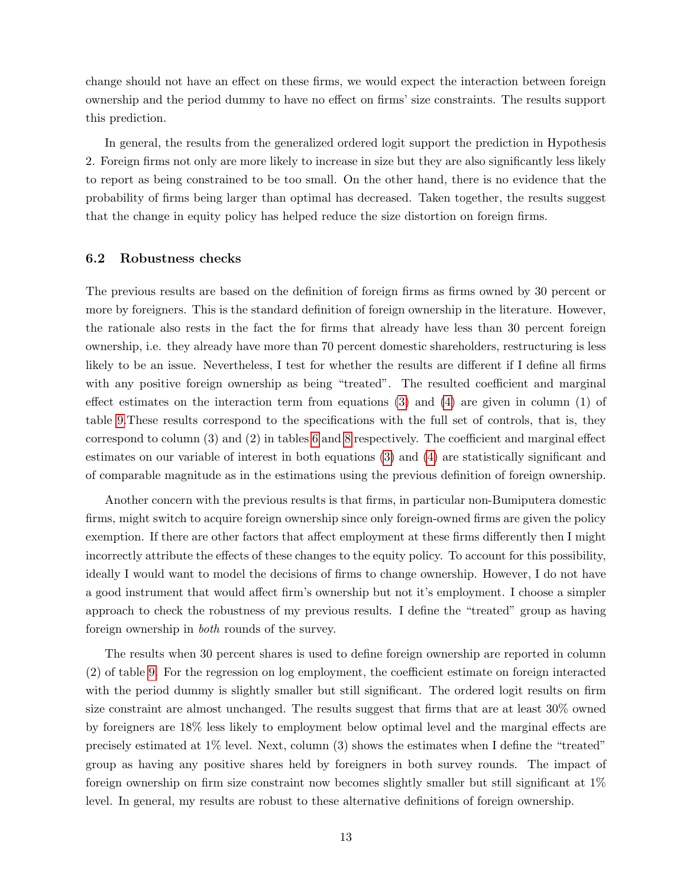change should not have an effect on these firms, we would expect the interaction between foreign ownership and the period dummy to have no effect on firms' size constraints. The results support this prediction.

In general, the results from the generalized ordered logit support the prediction in Hypothesis 2. Foreign firms not only are more likely to increase in size but they are also significantly less likely to report as being constrained to be too small. On the other hand, there is no evidence that the probability of firms being larger than optimal has decreased. Taken together, the results suggest that the change in equity policy has helped reduce the size distortion on foreign firms.

#### 6.2 Robustness checks

The previous results are based on the definition of foreign firms as firms owned by 30 percent or more by foreigners. This is the standard definition of foreign ownership in the literature. However, the rationale also rests in the fact the for firms that already have less than 30 percent foreign ownership, i.e. they already have more than 70 percent domestic shareholders, restructuring is less likely to be an issue. Nevertheless, I test for whether the results are different if I define all firms with any positive foreign ownership as being "treated". The resulted coefficient and marginal effect estimates on the interaction term from equations [\(3\)](#page-9-2) and [\(4\)](#page-10-2) are given in column (1) of table [9.](#page-22-0)These results correspond to the specifications with the full set of controls, that is, they correspond to column (3) and (2) in tables [6](#page-20-0) and [8](#page-21-0) respectively. The coefficient and marginal effect estimates on our variable of interest in both equations [\(3\)](#page-9-2) and [\(4\)](#page-10-2) are statistically significant and of comparable magnitude as in the estimations using the previous definition of foreign ownership.

Another concern with the previous results is that firms, in particular non-Bumiputera domestic firms, might switch to acquire foreign ownership since only foreign-owned firms are given the policy exemption. If there are other factors that affect employment at these firms differently then I might incorrectly attribute the effects of these changes to the equity policy. To account for this possibility, ideally I would want to model the decisions of firms to change ownership. However, I do not have a good instrument that would affect firm's ownership but not it's employment. I choose a simpler approach to check the robustness of my previous results. I define the "treated" group as having foreign ownership in both rounds of the survey.

The results when 30 percent shares is used to define foreign ownership are reported in column (2) of table [9.](#page-22-0) For the regression on log employment, the coefficient estimate on foreign interacted with the period dummy is slightly smaller but still significant. The ordered logit results on firm size constraint are almost unchanged. The results suggest that firms that are at least 30% owned by foreigners are 18% less likely to employment below optimal level and the marginal effects are precisely estimated at 1% level. Next, column (3) shows the estimates when I define the "treated" group as having any positive shares held by foreigners in both survey rounds. The impact of foreign ownership on firm size constraint now becomes slightly smaller but still significant at 1% level. In general, my results are robust to these alternative definitions of foreign ownership.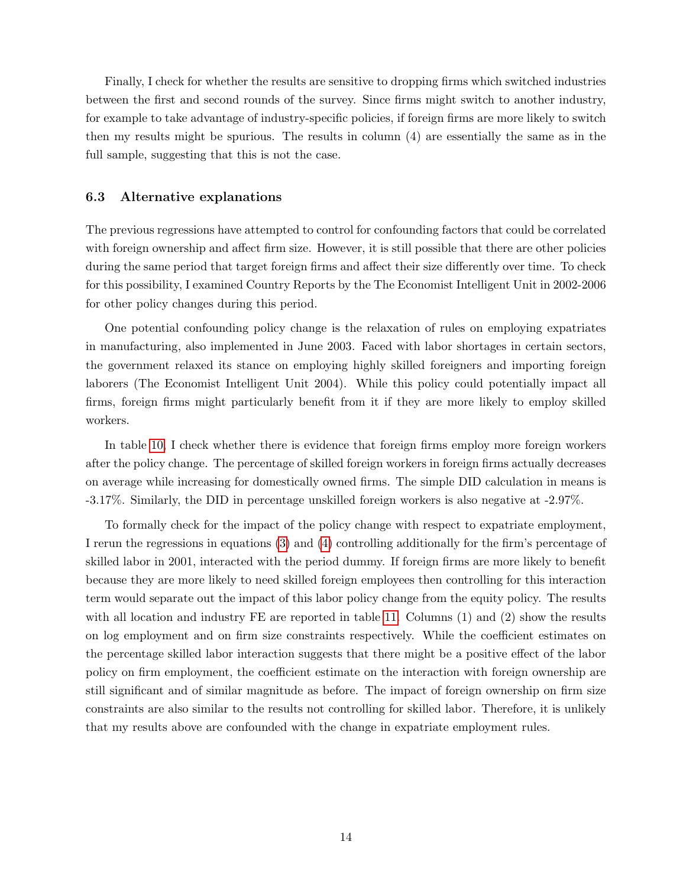Finally, I check for whether the results are sensitive to dropping firms which switched industries between the first and second rounds of the survey. Since firms might switch to another industry, for example to take advantage of industry-specific policies, if foreign firms are more likely to switch then my results might be spurious. The results in column (4) are essentially the same as in the full sample, suggesting that this is not the case.

### 6.3 Alternative explanations

The previous regressions have attempted to control for confounding factors that could be correlated with foreign ownership and affect firm size. However, it is still possible that there are other policies during the same period that target foreign firms and affect their size differently over time. To check for this possibility, I examined Country Reports by the The Economist Intelligent Unit in 2002-2006 for other policy changes during this period.

One potential confounding policy change is the relaxation of rules on employing expatriates in manufacturing, also implemented in June 2003. Faced with labor shortages in certain sectors, the government relaxed its stance on employing highly skilled foreigners and importing foreign laborers (The Economist Intelligent Unit 2004). While this policy could potentially impact all firms, foreign firms might particularly benefit from it if they are more likely to employ skilled workers.

In table [10,](#page-22-1) I check whether there is evidence that foreign firms employ more foreign workers after the policy change. The percentage of skilled foreign workers in foreign firms actually decreases on average while increasing for domestically owned firms. The simple DID calculation in means is -3.17%. Similarly, the DID in percentage unskilled foreign workers is also negative at -2.97%.

To formally check for the impact of the policy change with respect to expatriate employment, I rerun the regressions in equations [\(3\)](#page-9-2) and [\(4\)](#page-10-2) controlling additionally for the firm's percentage of skilled labor in 2001, interacted with the period dummy. If foreign firms are more likely to benefit because they are more likely to need skilled foreign employees then controlling for this interaction term would separate out the impact of this labor policy change from the equity policy. The results with all location and industry FE are reported in table [11.](#page-23-0) Columns (1) and (2) show the results on log employment and on firm size constraints respectively. While the coefficient estimates on the percentage skilled labor interaction suggests that there might be a positive effect of the labor policy on firm employment, the coefficient estimate on the interaction with foreign ownership are still significant and of similar magnitude as before. The impact of foreign ownership on firm size constraints are also similar to the results not controlling for skilled labor. Therefore, it is unlikely that my results above are confounded with the change in expatriate employment rules.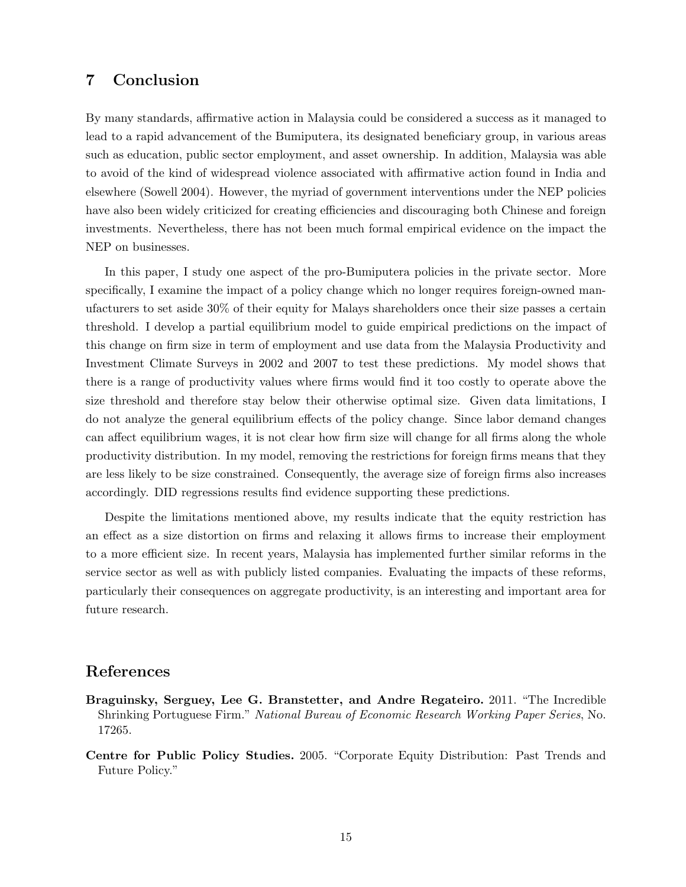# 7 Conclusion

By many standards, affirmative action in Malaysia could be considered a success as it managed to lead to a rapid advancement of the Bumiputera, its designated beneficiary group, in various areas such as education, public sector employment, and asset ownership. In addition, Malaysia was able to avoid of the kind of widespread violence associated with affirmative action found in India and elsewhere (Sowell 2004). However, the myriad of government interventions under the NEP policies have also been widely criticized for creating efficiencies and discouraging both Chinese and foreign investments. Nevertheless, there has not been much formal empirical evidence on the impact the NEP on businesses.

In this paper, I study one aspect of the pro-Bumiputera policies in the private sector. More specifically, I examine the impact of a policy change which no longer requires foreign-owned manufacturers to set aside 30% of their equity for Malays shareholders once their size passes a certain threshold. I develop a partial equilibrium model to guide empirical predictions on the impact of this change on firm size in term of employment and use data from the Malaysia Productivity and Investment Climate Surveys in 2002 and 2007 to test these predictions. My model shows that there is a range of productivity values where firms would find it too costly to operate above the size threshold and therefore stay below their otherwise optimal size. Given data limitations, I do not analyze the general equilibrium effects of the policy change. Since labor demand changes can affect equilibrium wages, it is not clear how firm size will change for all firms along the whole productivity distribution. In my model, removing the restrictions for foreign firms means that they are less likely to be size constrained. Consequently, the average size of foreign firms also increases accordingly. DID regressions results find evidence supporting these predictions.

Despite the limitations mentioned above, my results indicate that the equity restriction has an effect as a size distortion on firms and relaxing it allows firms to increase their employment to a more efficient size. In recent years, Malaysia has implemented further similar reforms in the service sector as well as with publicly listed companies. Evaluating the impacts of these reforms, particularly their consequences on aggregate productivity, is an interesting and important area for future research.

## References

- Braguinsky, Serguey, Lee G. Branstetter, and Andre Regateiro. 2011. "The Incredible Shrinking Portuguese Firm." National Bureau of Economic Research Working Paper Series, No. 17265.
- Centre for Public Policy Studies. 2005. "Corporate Equity Distribution: Past Trends and Future Policy."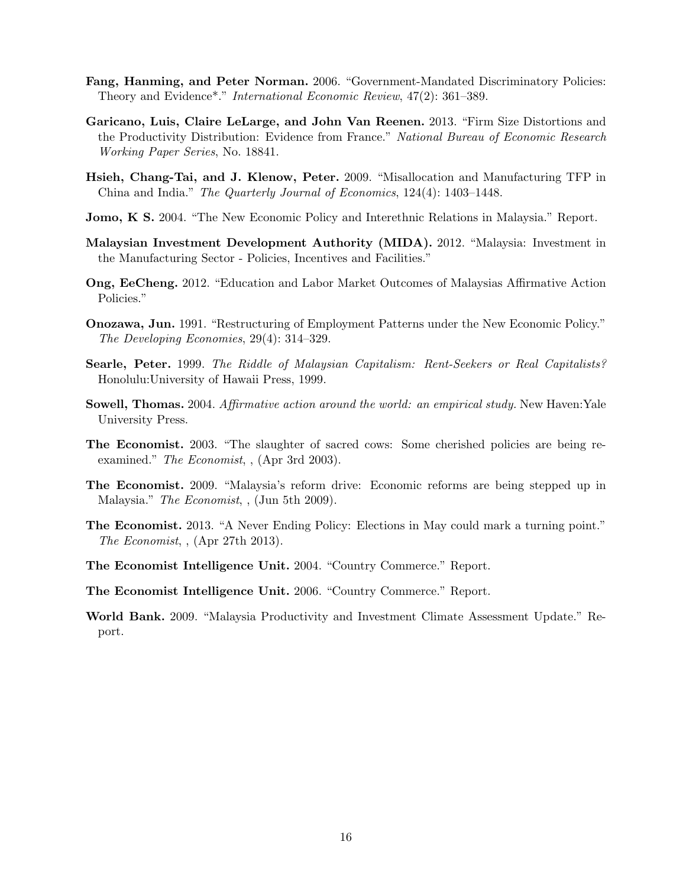- Fang, Hanming, and Peter Norman. 2006. "Government-Mandated Discriminatory Policies: Theory and Evidence\*." International Economic Review, 47(2): 361–389.
- Garicano, Luis, Claire LeLarge, and John Van Reenen. 2013. "Firm Size Distortions and the Productivity Distribution: Evidence from France." National Bureau of Economic Research Working Paper Series, No. 18841.
- Hsieh, Chang-Tai, and J. Klenow, Peter. 2009. "Misallocation and Manufacturing TFP in China and India." The Quarterly Journal of Economics, 124(4): 1403–1448.
- Jomo, K S. 2004. "The New Economic Policy and Interethnic Relations in Malaysia." Report.
- Malaysian Investment Development Authority (MIDA). 2012. "Malaysia: Investment in the Manufacturing Sector - Policies, Incentives and Facilities."
- Ong, EeCheng. 2012. "Education and Labor Market Outcomes of Malaysias Affirmative Action Policies."
- Onozawa, Jun. 1991. "Restructuring of Employment Patterns under the New Economic Policy." The Developing Economies, 29(4): 314–329.
- Searle, Peter. 1999. The Riddle of Malaysian Capitalism: Rent-Seekers or Real Capitalists? Honolulu:University of Hawaii Press, 1999.
- Sowell, Thomas. 2004. Affirmative action around the world: an empirical study. New Haven: Yale University Press.
- The Economist. 2003. "The slaughter of sacred cows: Some cherished policies are being reexamined." The Economist, , (Apr 3rd 2003).
- The Economist. 2009. "Malaysia's reform drive: Economic reforms are being stepped up in Malaysia." The Economist, , (Jun 5th 2009).
- The Economist. 2013. "A Never Ending Policy: Elections in May could mark a turning point." The Economist, , (Apr 27th 2013).
- The Economist Intelligence Unit. 2004. "Country Commerce." Report.
- The Economist Intelligence Unit. 2006. "Country Commerce." Report.
- World Bank. 2009. "Malaysia Productivity and Investment Climate Assessment Update." Report.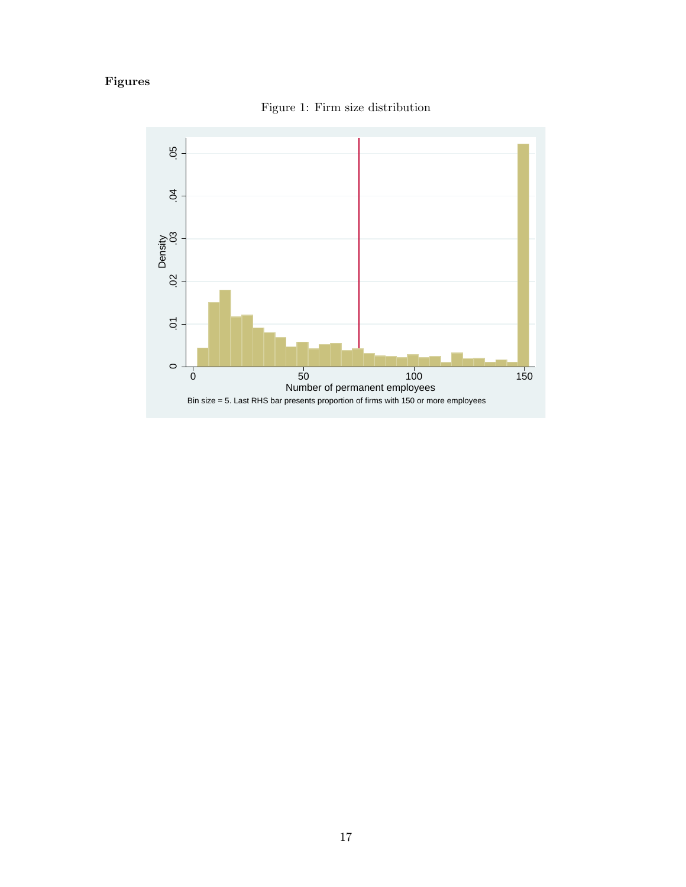# <span id="page-16-0"></span>Figures



Figure 1: Firm size distribution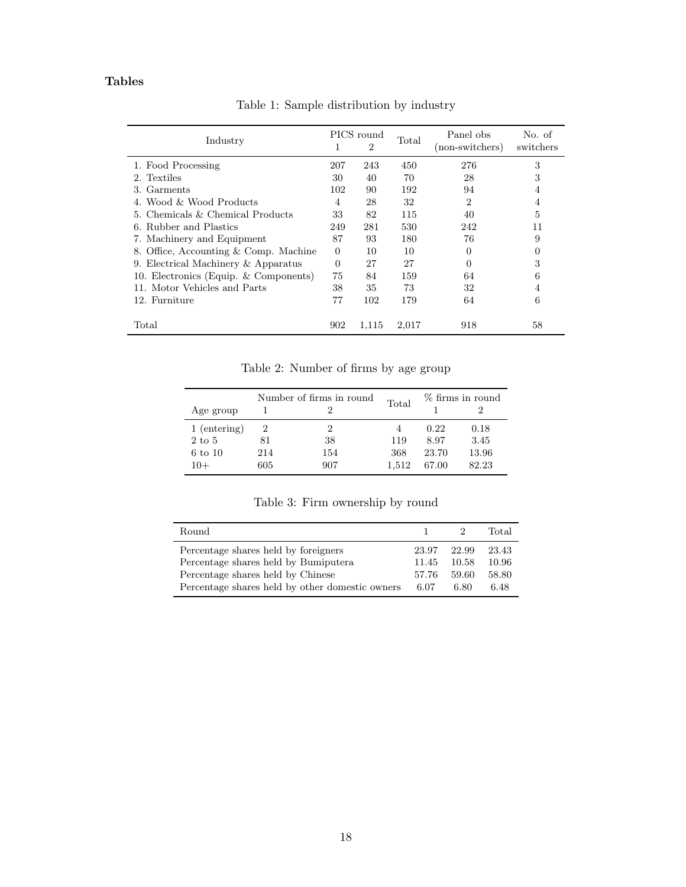## Tables

<span id="page-17-0"></span>

| Industry                              |          | PICS round<br>2 |       | Panel obs<br>(non-switchers) | No. of<br>switchers |
|---------------------------------------|----------|-----------------|-------|------------------------------|---------------------|
| 1. Food Processing                    | 207      | 243             | 450   | 276                          | 3                   |
| 2. Textiles                           | 30       | 40              | 70    | 28                           | 3                   |
| 3. Garments                           | 102      | 90              | 192   | 94                           | 4                   |
| 4. Wood & Wood Products               | 4        | 28              | 32    | $\overline{2}$               | 4                   |
| 5. Chemicals & Chemical Products      | 33       | 82              | 115   | 40                           | 5                   |
| 6. Rubber and Plastics                | 249      | 281             | 530   | 242                          | 11                  |
| 7. Machinery and Equipment            | 87       | 93              | 180   | 76                           | 9                   |
| 8. Office, Accounting & Comp. Machine | $\Omega$ | 10              | 10    | $\Omega$                     | 0                   |
| 9. Electrical Machinery & Apparatus   | $\Omega$ | 27              | 27    | 0                            | 3                   |
| 10. Electronics (Equip. & Components) | 75       | 84              | 159   | 64                           | 6                   |
| 11. Motor Vehicles and Parts          | 38       | 35              | 73    | 32                           | 4                   |
| 12. Furniture                         | 77       | 102             | 179   | 64                           | 6                   |
| $\rm Total$                           | 902      | 1,115           | 2,017 | 918                          | 58                  |

Table 1: Sample distribution by industry

Table 2: Number of firms by age group

<span id="page-17-1"></span>

|                   | Number of firms in round |     | Total | % firms in round |       |  |
|-------------------|--------------------------|-----|-------|------------------|-------|--|
| Age group         |                          |     |       |                  |       |  |
| 1 (entering)      |                          |     |       | 0.22             | 0.18  |  |
| $2 \text{ to } 5$ | 81                       | 38  | 119   | 8.97             | 3.45  |  |
| 6 to 10           | 214                      | 154 | 368   | 23.70            | 13.96 |  |
| $10+$             | 605                      | 907 | 1.512 | 67.00            | 82.23 |  |

Table 3: Firm ownership by round

<span id="page-17-2"></span>

| Round                                           |       |       | Total |
|-------------------------------------------------|-------|-------|-------|
|                                                 |       |       |       |
| Percentage shares held by foreigners            | 23.97 | 22.99 | 23.43 |
| Percentage shares held by Bumiputera            | 11.45 | 10.58 | 10.96 |
| Percentage shares held by Chinese               | 57.76 | 59.60 | 58.80 |
| Percentage shares held by other domestic owners | 6.07  | 6.80  | 6.48  |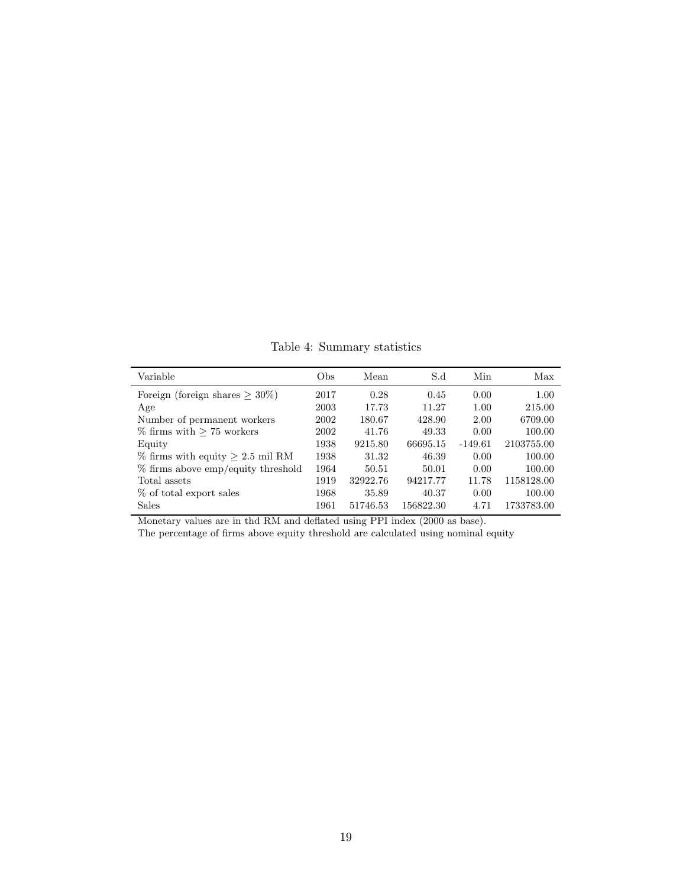Table 4: Summary statistics

<span id="page-18-0"></span>

| Variable                              | Obs  | Mean     | S.d       | Min       | Max        |
|---------------------------------------|------|----------|-----------|-----------|------------|
| Foreign (foreign shares $\geq 30\%$ ) | 2017 | 0.28     | 0.45      | 0.00      | 1.00       |
| Age                                   | 2003 | 17.73    | 11.27     | 1.00      | 215.00     |
| Number of permanent workers           | 2002 | 180.67   | 428.90    | 2.00      | 6709.00    |
| $\%$ firms with $> 75$ workers        | 2002 | 41.76    | 49.33     | 0.00      | 100.00     |
| Equity                                | 1938 | 9215.80  | 66695.15  | $-149.61$ | 2103755.00 |
| $\%$ firms with equity $> 2.5$ mil RM | 1938 | 31.32    | 46.39     | 0.00      | 100.00     |
| % firms above emp/equity threshold    | 1964 | 50.51    | 50.01     | 0.00      | 100.00     |
| Total assets                          | 1919 | 32922.76 | 94217.77  | 11.78     | 1158128.00 |
| % of total export sales               | 1968 | 35.89    | 40.37     | 0.00      | 100.00     |
| <b>Sales</b>                          | 1961 | 51746.53 | 156822.30 | 4.71      | 1733783.00 |

Monetary values are in thd RM and deflated using PPI index (2000 as base).

The percentage of firms above equity threshold are calculated using nominal equity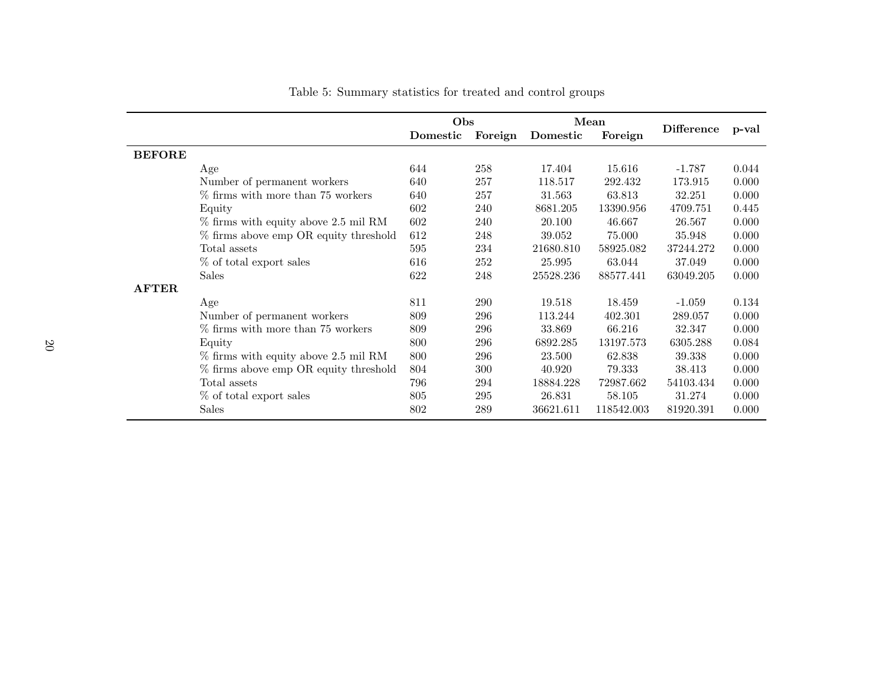|               |                                         | Obs      |         | Mean      |            |                   |       |
|---------------|-----------------------------------------|----------|---------|-----------|------------|-------------------|-------|
|               |                                         | Domestic | Foreign | Domestic  | Foreign    | <b>Difference</b> | p-val |
| <b>BEFORE</b> |                                         |          |         |           |            |                   |       |
|               | Age                                     | 644      | 258     | 17.404    | 15.616     | $-1.787$          | 0.044 |
|               | Number of permanent workers             | 640      | 257     | 118.517   | 292.432    | 173.915           | 0.000 |
|               | % firms with more than 75 workers       | 640      | 257     | 31.563    | 63.813     | 32.251            | 0.000 |
|               | Equity                                  | 602      | 240     | 8681.205  | 13390.956  | 4709.751          | 0.445 |
|               | $\%$ firms with equity above 2.5 mil RM | 602      | 240     | 20.100    | 46.667     | 26.567            | 0.000 |
|               | % firms above emp OR equity threshold   | 612      | 248     | 39.052    | 75.000     | 35.948            | 0.000 |
|               | Total assets                            | 595      | 234     | 21680.810 | 58925.082  | 37244.272         | 0.000 |
|               | % of total export sales                 | 616      | 252     | 25.995    | 63.044     | 37.049            | 0.000 |
|               | <b>Sales</b>                            | 622      | 248     | 25528.236 | 88577.441  | 63049.205         | 0.000 |
| <b>AFTER</b>  |                                         |          |         |           |            |                   |       |
|               | Age                                     | 811      | 290     | 19.518    | 18.459     | $-1.059$          | 0.134 |
|               | Number of permanent workers             | 809      | 296     | 113.244   | 402.301    | 289.057           | 0.000 |
|               | % firms with more than 75 workers       | 809      | 296     | 33.869    | 66.216     | 32.347            | 0.000 |
|               | Equity                                  | 800      | 296     | 6892.285  | 13197.573  | 6305.288          | 0.084 |
|               | $\%$ firms with equity above 2.5 mil RM | 800      | 296     | 23.500    | 62.838     | 39.338            | 0.000 |
|               | % firms above emp OR equity threshold   | 804      | 300     | 40.920    | 79.333     | 38.413            | 0.000 |
|               | Total assets                            | 796      | 294     | 18884.228 | 72987.662  | 54103.434         | 0.000 |
|               | % of total export sales                 | 805      | 295     | 26.831    | 58.105     | 31.274            | 0.000 |
|               | Sales                                   | 802      | 289     | 36621.611 | 118542.003 | 81920.391         | 0.000 |

<span id="page-19-0"></span>Table 5: Summary statistics for treated and control groups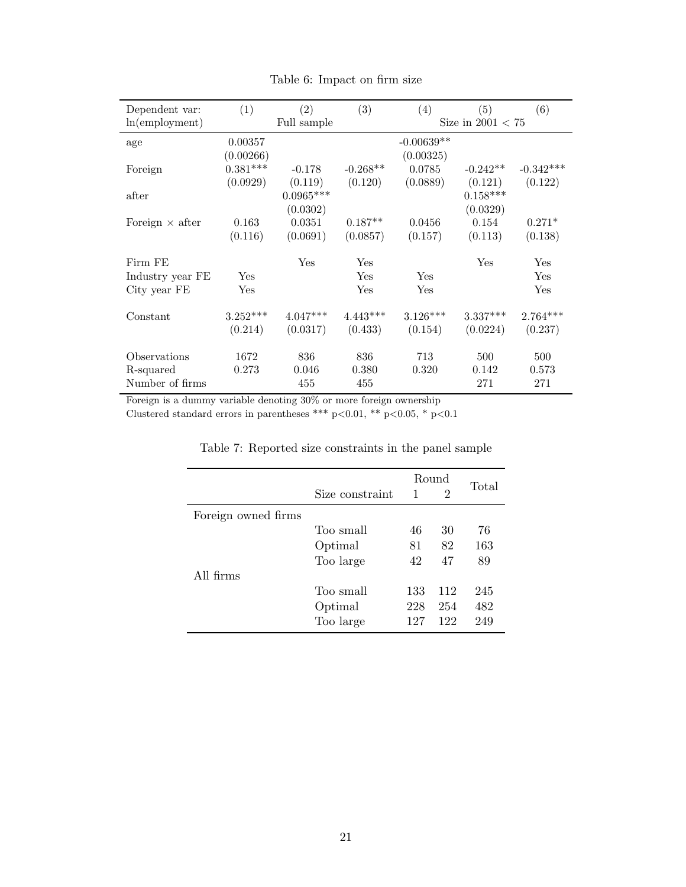<span id="page-20-0"></span>

| Dependent var:         | (1)        | (2)         | (3)        | (4)          | (5)                 | (6)         |
|------------------------|------------|-------------|------------|--------------|---------------------|-------------|
| ln(employment)         |            | Full sample |            |              | Size in $2001 < 75$ |             |
|                        |            |             |            |              |                     |             |
| age                    | 0.00357    |             |            | $-0.00639**$ |                     |             |
|                        | (0.00266)  |             |            | (0.00325)    |                     |             |
| Foreign                | $0.381***$ | $-0.178$    | $-0.268**$ | 0.0785       | $-0.242**$          | $-0.342***$ |
|                        | (0.0929)   | (0.119)     | (0.120)    | (0.0889)     | (0.121)             | (0.122)     |
| after                  |            | $0.0965***$ |            |              | $0.158^{***}\,$     |             |
|                        |            | (0.0302)    |            |              | (0.0329)            |             |
| Foreign $\times$ after | 0.163      | 0.0351      | $0.187**$  | 0.0456       | 0.154               | $0.271*$    |
|                        | (0.116)    | (0.0691)    | (0.0857)   | (0.157)      | (0.113)             | (0.138)     |
| Firm FE                |            | Yes         | Yes        |              | Yes                 | Yes         |
| Industry year FE       | Yes        |             | Yes        | Yes          |                     | Yes         |
| City year FE           | Yes        |             | Yes        | Yes          |                     | Yes         |
|                        |            |             |            |              |                     |             |
| Constant               | $3.252***$ | $4.047***$  | $4.443***$ | $3.126***$   | $3.337***$          | $2.764***$  |
|                        | (0.214)    | (0.0317)    | (0.433)    | (0.154)      | (0.0224)            | (0.237)     |
| Observations           | 1672       | 836         | 836        | 713          | 500                 | 500         |
| R-squared              | 0.273      | 0.046       | 0.380      | 0.320        | 0.142               | 0.573       |
|                        |            |             |            |              |                     |             |
| Number of firms        |            | 455         | 455        |              | 271                 | 271         |

Table 6: Impact on firm size

Foreign is a dummy variable denoting 30% or more foreign ownership

<span id="page-20-1"></span>Clustered standard errors in parentheses \*\*\* p<0.01, \*\* p<0.05, \* p<0.1

|                     |                 |     | Round          |       |
|---------------------|-----------------|-----|----------------|-------|
|                     | Size constraint | 1   | $\overline{2}$ | Total |
| Foreign owned firms |                 |     |                |       |
|                     | Too small       | 46  | 30             | 76    |
|                     | Optimal         | 81  | 82             | 163   |
|                     | Too large       | 42  | 47             | 89    |
| All firms           |                 |     |                |       |
|                     | Too small       | 133 | 112            | 245   |
|                     | Optimal         | 228 | 254            | 482   |
|                     | Too large       | 127 | 122            | 249   |

Table 7: Reported size constraints in the panel sample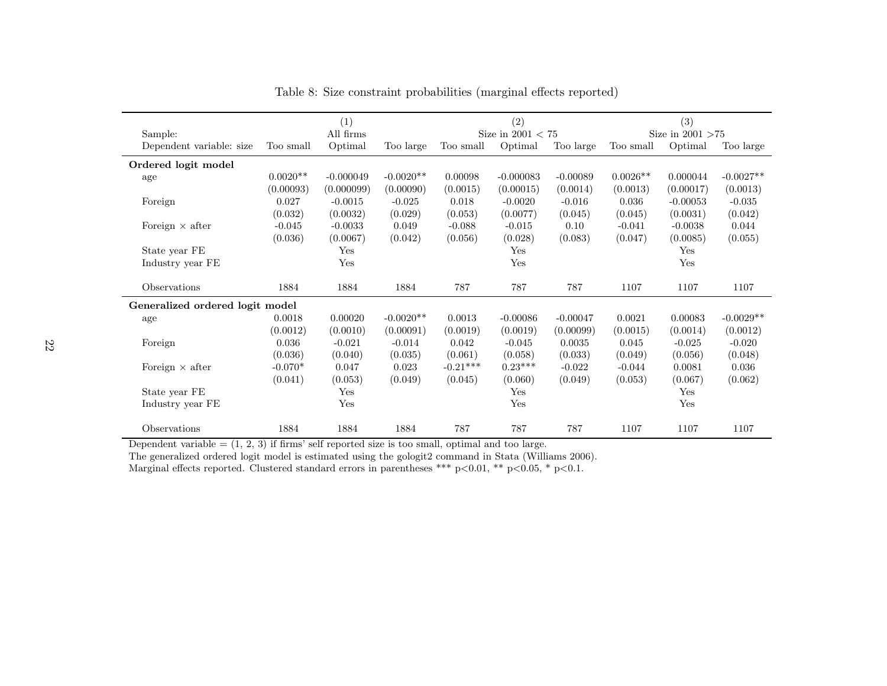|                                 |            | (1)         |             |            | (2)                 |            |            | (3)                 |             |
|---------------------------------|------------|-------------|-------------|------------|---------------------|------------|------------|---------------------|-------------|
| Sample:                         |            | All firms   |             |            | Size in $2001 < 75$ |            |            | Size in $2001 > 75$ |             |
| Dependent variable: size        | Too small  | Optimal     | Too large   | Too small  | Optimal             | Too large  | Too small  | Optimal             | Too large   |
| Ordered logit model             |            |             |             |            |                     |            |            |                     |             |
| age                             | $0.0020**$ | $-0.000049$ | $-0.0020**$ | 0.00098    | $-0.000083$         | $-0.00089$ | $0.0026**$ | 0.000044            | $-0.0027**$ |
|                                 | (0.00093)  | (0.000099)  | (0.00090)   | (0.0015)   | (0.00015)           | (0.0014)   | (0.0013)   | (0.00017)           | (0.0013)    |
| Foreign                         | 0.027      | $-0.0015$   | $-0.025$    | 0.018      | $-0.0020$           | $-0.016$   | 0.036      | $-0.00053$          | $-0.035$    |
|                                 | (0.032)    | (0.0032)    | (0.029)     | (0.053)    | (0.0077)            | (0.045)    | (0.045)    | (0.0031)            | (0.042)     |
| Foreign $\times$ after          | $-0.045$   | $-0.0033$   | 0.049       | $-0.088$   | $-0.015$            | 0.10       | $-0.041$   | $-0.0038$           | 0.044       |
|                                 | (0.036)    | (0.0067)    | (0.042)     | (0.056)    | (0.028)             | (0.083)    | (0.047)    | (0.0085)            | (0.055)     |
| State year FE                   |            | Yes         |             |            | Yes                 |            |            | Yes                 |             |
| Industry year FE                |            | Yes         |             |            | Yes                 |            |            | Yes                 |             |
|                                 |            |             |             |            |                     |            |            |                     |             |
| Observations                    | 1884       | 1884        | 1884        | 787        | 787                 | 787        | 1107       | 1107                | 1107        |
| Generalized ordered logit model |            |             |             |            |                     |            |            |                     |             |
| age                             | 0.0018     | 0.00020     | $-0.0020**$ | 0.0013     | $-0.00086$          | $-0.00047$ | 0.0021     | 0.00083             | $-0.0029**$ |
|                                 | (0.0012)   | (0.0010)    | (0.00091)   | (0.0019)   | (0.0019)            | (0.00099)  | (0.0015)   | (0.0014)            | (0.0012)    |
| Foreign                         | 0.036      | $-0.021$    | $-0.014$    | 0.042      | $-0.045$            | 0.0035     | 0.045      | $-0.025$            | $-0.020$    |
|                                 | (0.036)    | (0.040)     | (0.035)     | (0.061)    | (0.058)             | (0.033)    | (0.049)    | (0.056)             | (0.048)     |
| Foreign $\times$ after          | $-0.070*$  | 0.047       | 0.023       | $-0.21***$ | $0.23***$           | $-0.022$   | $-0.044$   | 0.0081              | 0.036       |
|                                 | (0.041)    | (0.053)     | (0.049)     | (0.045)    | (0.060)             | (0.049)    | (0.053)    | (0.067)             | (0.062)     |
| State year FE                   |            | Yes         |             |            | Yes                 |            |            | Yes                 |             |
| Industry year FE                |            | Yes         |             |            | Yes                 |            |            | Yes                 |             |
|                                 |            |             |             |            |                     |            |            |                     |             |
| Observations                    | 1884       | 1884        | 1884        | 787        | 787                 | 787        | 1107       | 1107                | 1107        |

<span id="page-21-0"></span>Table 8: Size constraint probabilities (marginal effects reported)

Dependent variable  $=(1, 2, 3)$  if firms' self reported size is too small, optimal and too large.

The generalized ordered logit model is estimated using the gologit2 command in Stata (Williams 2006).

Marginal effects reported. Clustered standard errors in parentheses \*\*\* <sup>p</sup><sup>&</sup>lt;0.01, \*\* <sup>p</sup><sup>&</sup>lt;0.05, \* <sup>p</sup><0.1.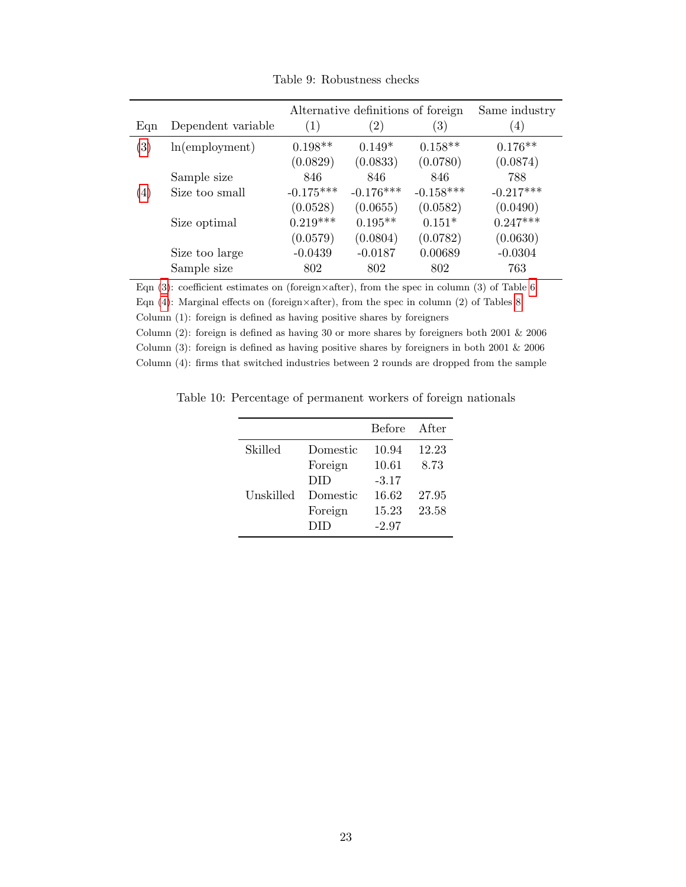<span id="page-22-0"></span>

|                   |                    | Alternative definitions of foreign | Same industry     |                   |             |
|-------------------|--------------------|------------------------------------|-------------------|-------------------|-------------|
| Eqn               | Dependent variable | $\left(1\right)$                   | $\left( 2\right)$ | $\left( 3\right)$ | (4)         |
| $\left( 3\right)$ | ln(emplogment)     | $0.198**$                          | $0.149*$          | $0.158**$         | $0.176**$   |
|                   |                    | (0.0829)                           | (0.0833)          | (0.0780)          | (0.0874)    |
|                   | Sample size        | 846                                | 846               | 846               | 788         |
| $\left( 4\right)$ | Size too small     | $-0.175***$                        | $-0.176***$       | $-0.158***$       | $-0.217***$ |
|                   |                    | (0.0528)                           | (0.0655)          | (0.0582)          | (0.0490)    |
|                   | Size optimal       | $0.219***$                         | $0.195**$         | $0.151*$          | $0.247***$  |
|                   |                    | (0.0579)                           | (0.0804)          | (0.0782)          | (0.0630)    |
|                   | Size too large     | $-0.0439$                          | $-0.0187$         | 0.00689           | $-0.0304$   |
|                   | Sample size        | 802                                | 802               | 802               | 763         |

Table 9: Robustness checks

Eqn [\(3\)](#page-9-2): coefficient estimates on (foreign×after), from the spec in column (3) of Table [6](#page-20-0)

Eqn  $(4)$ : Marginal effects on (foreign×after), from the spec in column  $(2)$  of Tables [8](#page-21-0)

Column (1): foreign is defined as having positive shares by foreigners

Column (2): foreign is defined as having 30 or more shares by foreigners both 2001  $\&$  2006 Column (3): foreign is defined as having positive shares by foreigners in both 2001 & 2006 Column (4): firms that switched industries between 2 rounds are dropped from the sample

<span id="page-22-1"></span>Table 10: Percentage of permanent workers of foreign nationals

|           |          | Before  | After |
|-----------|----------|---------|-------|
| Skilled   | Domestic | 10.94   | 12.23 |
|           | Foreign  | 10.61   | 8.73  |
|           | DID      | $-3.17$ |       |
| Unskilled | Domestic | 16.62   | 27.95 |
|           | Foreign  | 15.23   | 23.58 |
|           | DID      | $-2.97$ |       |